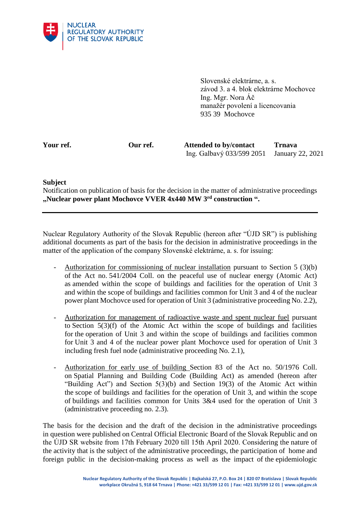

Slovenské elektrárne, a. s. závod 3. a 4. blok elektrárne Mochovce Ing. Mgr. Nora Áč manažér povolení a licencovania 935 39 Mochovce

**Your ref. Our ref. Attended to by/contact Trnava** Ing. Galbavý 033/599 2051 January 22, 2021

## **Subject**

Notification on publication of basis for the decision in the matter of administrative proceedings **"Nuclear power plant Mochovce VVER 4x440 MW 3rd construction ".**

Nuclear Regulatory Authority of the Slovak Republic (hereon after "ÚJD SR") is publishing additional documents as part of the basis for the decision in administrative proceedings in the matter of the application of the company Slovenské elektrárne, a. s. for issuing:

- Authorization for commissioning of nuclear installation pursuant to Section 5 (3)(b) of the Act no. 541/2004 Coll. on the peaceful use of nuclear energy (Atomic Act) as amended within the scope of buildings and facilities for the operation of Unit 3 and within the scope of buildings and facilities common for Unit 3 and 4 of the nuclear power plant Mochovce used for operation of Unit 3 (administrative proceeding No. 2.2),
- Authorization for management of radioactive waste and spent nuclear fuel pursuant to Section 5(3)(f) of the Atomic Act within the scope of buildings and facilities for the operation of Unit 3 and within the scope of buildings and facilities common for Unit 3 and 4 of the nuclear power plant Mochovce used for operation of Unit 3 including fresh fuel node (administrative proceeding No. 2.1),
- Authorization for early use of building Section 83 of the Act no. 50/1976 Coll. on Spatial Planning and Building Code (Building Act) as amended (hereon after "Building Act") and Section 5(3)(b) and Section 19(3) of the Atomic Act within the scope of buildings and facilities for the operation of Unit 3, and within the scope of buildings and facilities common for Units 3&4 used for the operation of Unit 3 (administrative proceeding no. 2.3).

The basis for the decision and the draft of the decision in the administrative proceedings in question were published on Central Official Electronic Board of the Slovak Republic and on the ÚJD SR website from 17th February 2020 till 15th April 2020. Considering the nature of the activity that is the subject of the administrative proceedings, the participation of home and foreign public in the decision-making process as well as the impact of the epidemiologic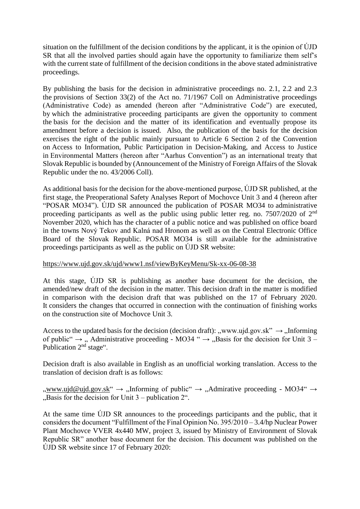situation on the fulfillment of the decision conditions by the applicant, it is the opinion of ÚJD SR that all the involved parties should again have the opportunity to familiarize them self's with the current state of fulfillment of the decision conditions in the above stated administrative proceedings.

By publishing the basis for the decision in administrative proceedings no. 2.1, 2.2 and 2.3 the provisions of Section 33(2) of the Act no. 71/1967 Coll on Administrative proceedings (Administrative Code) as amended (hereon after "Administrative Code") are executed, by which the administrative proceeding participants are given the opportunity to comment the basis for the decision and the matter of its identification and eventually propose its amendment before a decision is issued. Also, the publication of the basis for the decision exercises the right of the public mainly pursuant to Article 6 Section 2 of the Convention on Access to Information, Public Participation in Decision-Making, and Access to Justice in Environmental Matters (hereon after "Aarhus Convention") as an international treaty that Slovak Republic is bounded by (Announcement of the Ministry of Foreign Affairs of the Slovak Republic under the no. 43/2006 Coll).

As additional basis for the decision for the above-mentioned purpose, ÚJD SR published, at the first stage, the Preoperational Safety Analyses Report of Mochovce Unit 3 and 4 (hereon after "POSAR MO34"). ÚJD SR announced the publication of POSAR MO34 to administrative proceeding participants as well as the public using public letter reg. no. 7507/2020 of 2nd November 2020, which has the character of a public notice and was published on office board in the towns Nový Tekov and Kalná nad Hronom as well as on the Central Electronic Office Board of the Slovak Republic. POSAR MO34 is still available for the administrative proceedings participants as well as the public on ÚJD SR website:

## https://www.ujd.gov.sk/ujd/www1.nsf/viewByKeyMenu/Sk-xx-06-08-38

At this stage, ÚJD SR is publishing as another base document for the decision, the amended/new draft of the decision in the matter. This decision draft in the matter is modified in comparison with the decision draft that was published on the 17 of February 2020. It considers the changes that occurred in connection with the continuation of finishing works on the construction site of Mochovce Unit 3.

Access to the updated basis for the decision (decision draft): "www.ujd.gov.sk"  $\rightarrow$  "Informing of public"  $\rightarrow$  ", Administrative proceeding - MO34 "  $\rightarrow$  ", Basis for the decision for Unit 3 – Publication 2<sup>nd</sup> stage".

Decision draft is also available in English as an unofficial working translation. Access to the translation of decision draft is as follows:

 $_{\rm w}$ ww.ujd@ujd.gov.sk"  $\rightarrow$   $_{\rm w}$ Informing of public  $_{\rm w}$   $\rightarrow$   $_{\rm w}$ Admirative proceeding - MO34  $_{\rm w}$   $\rightarrow$  $Basis$  for the decision for Unit 3 – publication 2".

At the same time ÚJD SR announces to the proceedings participants and the public, that it considers the document "Fulfillment of the Final Opinion No. 395/2010 – 3.4/hp Nuclear Power Plant Mochovce VVER 4x440 MW, project 3, issued by Ministry of Environment of Slovak Republic SR" another base document for the decision. This document was published on the ÚJD SR website since 17 of February 2020: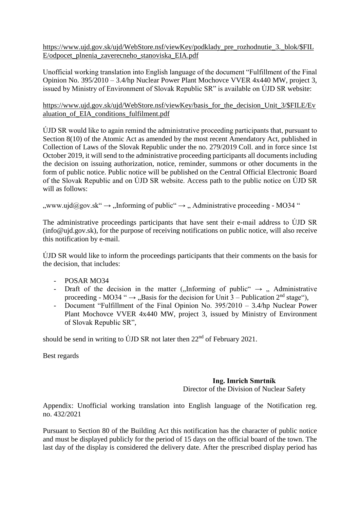https://www.ujd.gov.sk/ujd/WebStore.nsf/viewKey/podklady\_pre\_rozhodnutie\_3.\_blok/\$FIL E/odpocet\_plnenia\_zaverecneho\_stanoviska\_EIA.pdf

Unofficial working translation into English language of the document "Fulfillment of the Final Opinion No. 395/2010 – 3.4/hp Nuclear Power Plant Mochovce VVER 4x440 MW, project 3, issued by Ministry of Environment of Slovak Republic SR" is available on ÚJD SR website:

https://www.ujd.gov.sk/ujd/WebStore.nsf/viewKey/basis\_for\_the\_decision\_Unit\_3/\$FILE/Ev aluation of EIA conditions fulfilment.pdf

ÚJD SR would like to again remind the administrative proceeding participants that, pursuant to Section 8(10) of the Atomic Act as amended by the most recent Amendatory Act, published in Collection of Laws of the Slovak Republic under the no. 279/2019 Coll. and in force since 1st October 2019, it will send to the administrative proceeding participants all documents including the decision on issuing authorization, notice, reminder, summons or other documents in the form of public notice. Public notice will be published on the Central Official Electronic Board of the Slovak Republic and on ÚJD SR website. Access path to the public notice on ÚJD SR will as follows:

 $_{\rm y,www.ujd}|Qgov.sk'' \rightarrow$   $_{\rm y,}$  Informing of public  $\rightarrow$   $_{\rm y,}$  Administrative proceeding - MO34 "

The administrative proceedings participants that have sent their e-mail address to ÚJD SR (info@ujd.gov.sk), for the purpose of receiving notifications on public notice, will also receive this notification by e-mail.

ÚJD SR would like to inform the proceedings participants that their comments on the basis for the decision, that includes:

- POSAR MO34
- Draft of the decision in the matter ("Informing of public"  $\rightarrow$  " Administrative proceeding - MO34 "  $\rightarrow$  "Basis for the decision for Unit 3 – Publication 2<sup>nd</sup> stage"),
- Document "Fulfillment of the Final Opinion No. 395/2010 3.4/hp Nuclear Power Plant Mochovce VVER 4x440 MW, project 3, issued by Ministry of Environment of Slovak Republic SR",

should be send in writing to ÚJD SR not later then  $22<sup>nd</sup>$  of February 2021.

Best regards

## **Ing. Imrich Smrtník** Director of the Division of Nuclear Safety

Appendix: Unofficial working translation into English language of the Notification reg. no. 432/2021

Pursuant to Section 80 of the Building Act this notification has the character of public notice and must be displayed publicly for the period of 15 days on the official board of the town. The last day of the display is considered the delivery date. After the prescribed display period has